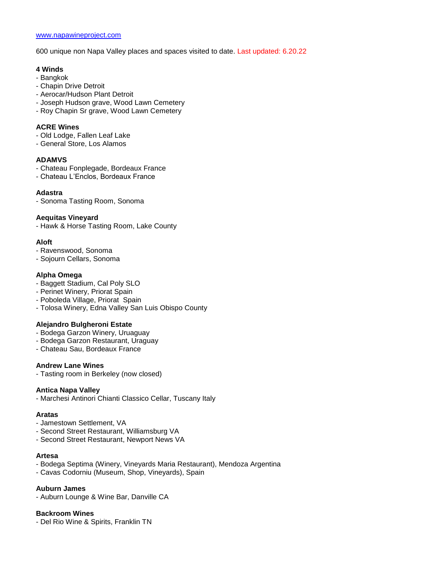600 unique non Napa Valley places and spaces visited to date. Last updated: 6.20.22

#### **4 Winds**

- Bangkok
- Chapin Drive Detroit
- Aerocar/Hudson Plant Detroit
- Joseph Hudson grave, Wood Lawn Cemetery
- Roy Chapin Sr grave, Wood Lawn Cemetery

#### **ACRE Wines**

- Old Lodge, Fallen Leaf Lake
- General Store, Los Alamos

#### **ADAMVS**

- Chateau Fonplegade, Bordeaux France
- Chateau L'Enclos, Bordeaux France

#### **Adastra**

- Sonoma Tasting Room, Sonoma

#### **Aequitas Vineyard**

- Hawk & Horse Tasting Room, Lake County

#### **Aloft**

- Ravenswood, Sonoma
- Sojourn Cellars, Sonoma

#### **Alpha Omega**

- Baggett Stadium, Cal Poly SLO
- Perinet Winery, Priorat Spain
- Poboleda Village, Priorat Spain
- Tolosa Winery, Edna Valley San Luis Obispo County

#### **Alejandro Bulgheroni Estate**

- Bodega Garzon Winery, Uruaguay
- Bodega Garzon Restaurant, Uraguay
- Chateau Sau, Bordeaux France

#### **Andrew Lane Wines**

- Tasting room in Berkeley (now closed)

#### **Antica Napa Valley**

- Marchesi Antinori Chianti Classico Cellar, Tuscany Italy

#### **Aratas**

- Jamestown Settlement, VA
- Second Street Restaurant, Williamsburg VA
- Second Street Restaurant, Newport News VA

# **Artesa**

- Bodega Septima (Winery, Vineyards Maria Restaurant), Mendoza Argentina
- Cavas Codorniu (Museum, Shop, Vineyards), Spain

#### **Auburn James**

- Auburn Lounge & Wine Bar, Danville CA

#### **Backroom Wines**

- Del Rio Wine & Spirits, Franklin TN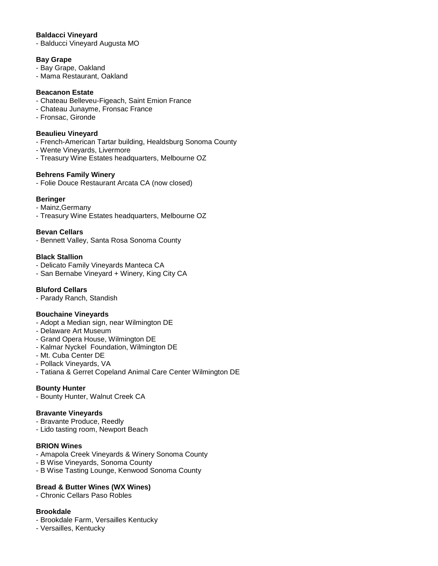### **Baldacci Vineyard**

- Balducci Vineyard Augusta MO

#### **Bay Grape**

- Bay Grape, Oakland
- Mama Restaurant, Oakland

#### **Beacanon Estate**

- Chateau Belleveu-Figeach, Saint Emion France
- Chateau Junayme, Fronsac France
- Fronsac, Gironde

#### **Beaulieu Vineyard**

- French-American Tartar building, Healdsburg Sonoma County
- Wente Vineyards, Livermore
- Treasury Wine Estates headquarters, Melbourne OZ

### **Behrens Family Winery**

- Folie Douce Restaurant Arcata CA (now closed)

### **Beringer**

- Mainz,Germany
- Treasury Wine Estates headquarters, Melbourne OZ

### **Bevan Cellars**

- Bennett Valley, Santa Rosa Sonoma County

#### **Black Stallion**

- Delicato Family Vineyards Manteca CA
- San Bernabe Vineyard + Winery, King City CA

### **Bluford Cellars**

- Parady Ranch, Standish

### **Bouchaine Vineyards**

- Adopt a Median sign, near Wilmington DE
- Delaware Art Museum
- Grand Opera House, Wilmington DE
- Kalmar Nyckel Foundation, Wilmington DE
- Mt. Cuba Center DE
- Pollack Vineyards, VA
- Tatiana & Gerret Copeland Animal Care Center Wilmington DE

### **Bounty Hunter**

- Bounty Hunter, Walnut Creek CA

#### **Bravante Vineyards**

- Bravante Produce, Reedly
- Lido tasting room, Newport Beach

#### **BRION Wines**

- Amapola Creek Vineyards & Winery Sonoma County
- B Wise Vineyards, Sonoma County
- B Wise Tasting Lounge, Kenwood Sonoma County

### **Bread & Butter Wines (WX Wines)**

- Chronic Cellars Paso Robles

### **Brookdale**

- Brookdale Farm, Versailles Kentucky
- Versailles, Kentucky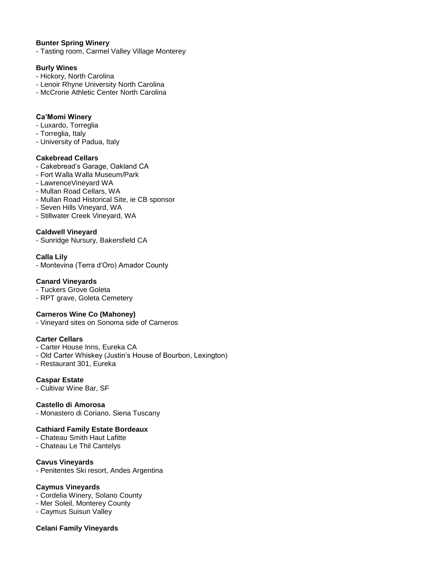### **Bunter Spring Winery**

- Tasting room, Carmel Valley Village Monterey

### **Burly Wines**

- Hickory, North Carolina
- Lenoir Rhyne University North Carolina
- McCrorie Athletic Center North Carolina

#### **Ca'Momi Winery**

- Luxardo, Torreglia
- Torreglia, Italy
- University of Padua, Italy

#### **Cakebread Cellars**

- Cakebread's Garage, Oakland CA
- Fort Walla Walla Museum/Park
- LawrenceVineyard WA
- Mullan Road Cellars, WA
- Mullan Road Historical Site, ie CB sponsor
- Seven Hills Vineyard, WA
- Stillwater Creek Vineyard, WA

#### **Caldwell Vineyard**

- Sunridge Nursury, Bakersfield CA

#### **Calla Lily**

- Montevina (Terra d'Oro) Amador County

#### **Canard Vineyards**

- Tuckers Grove Goleta
- RPT grave, Goleta Cemetery

#### **Carneros Wine Co (Mahoney)**

- Vineyard sites on Sonoma side of Carneros

# **Carter Cellars**

- Carter House Inns, Eureka CA
- Old Carter Whiskey (Justin's House of Bourbon, Lexington)
- Restaurant 301, Eureka

#### **Caspar Estate**

- Cultivar Wine Bar, SF

#### **Castello di Amorosa**

- Monastero di Coriano, Siena Tuscany

#### **Cathiard Family Estate Bordeaux**

- Chateau Smith Haut Lafitte
- Chateau Le Thil Cantelys

#### **Cavus Vineyards**

- Penitentes Ski resort, Andes Argentina

#### **Caymus Vineyards**

- Cordelia Winery, Solano County
- Mer Soleil, Monterey County
- Caymus Suisun Valley

#### **Celani Family Vineyards**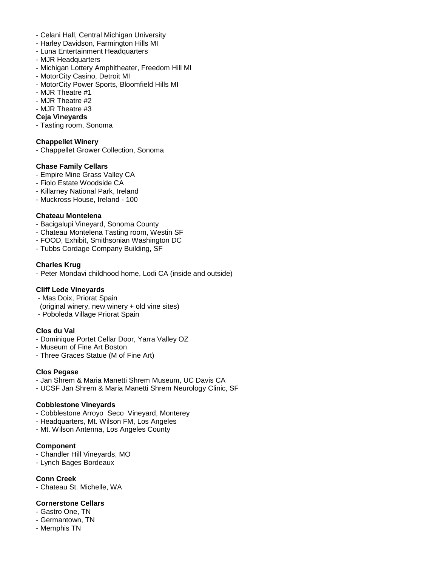- Celani Hall, Central Michigan University
- Harley Davidson, Farmington Hills MI
- Luna Entertainment Headquarters
- MJR Headquarters
- Michigan Lottery Amphitheater, Freedom Hill MI
- MotorCity Casino, Detroit MI
- MotorCity Power Sports, Bloomfield Hills MI
- MJR Theatre #1
- MJR Theatre #2
- MJR Theatre #3

## **Ceja Vineyards**

- Tasting room, Sonoma

### **Chappellet Winery**

- Chappellet Grower Collection, Sonoma

### **Chase Family Cellars**

- Empire Mine Grass Valley CA
- Fiolo Estate Woodside CA
- Killarney National Park, Ireland
- Muckross House, Ireland 100

### **Chateau Montelena**

- Bacigalupi Vineyard, Sonoma County
- Chateau Montelena Tasting room, Westin SF
- FOOD, Exhibit, Smithsonian Washington DC
- Tubbs Cordage Company Building, SF

### **Charles Krug**

- Peter Mondavi childhood home, Lodi CA (inside and outside)

### **Cliff Lede Vineyards**

- Mas Doix, Priorat Spain
- (original winery, new winery + old vine sites)
- Poboleda Village Priorat Spain

### **Clos du Val**

- Dominique Portet Cellar Door, Yarra Valley OZ
- Museum of Fine Art Boston
- Three Graces Statue (M of Fine Art)

### **Clos Pegase**

- Jan Shrem & Maria Manetti Shrem Museum, UC Davis CA
- UCSF Jan Shrem & Maria Manetti Shrem Neurology Clinic, SF

### **Cobblestone Vineyards**

- Cobblestone Arroyo Seco Vineyard, Monterey
- Headquarters, Mt. Wilson FM, Los Angeles
- Mt. Wilson Antenna, Los Angeles County

### **Component**

- Chandler Hill Vineyards, MO
- Lynch Bages Bordeaux

**Conn Creek** - Chateau St. Michelle, WA

### **Cornerstone Cellars**

- Gastro One, TN
- Germantown, TN
- Memphis TN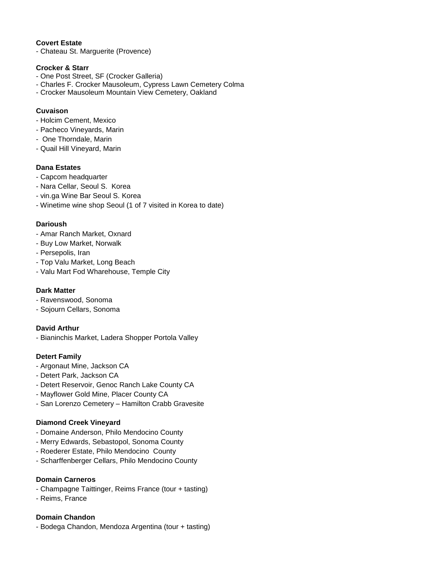# **Covert Estate**

- Chateau St. Marguerite (Provence)

#### **Crocker & Starr**

- One Post Street, SF (Crocker Galleria)
- Charles F. Crocker Mausoleum, Cypress Lawn Cemetery Colma
- Crocker Mausoleum Mountain View Cemetery, Oakland

### **Cuvaison**

- Holcim Cement, Mexico
- Pacheco Vineyards, Marin
- One Thorndale, Marin
- Quail Hill Vineyard, Marin

### **Dana Estates**

- Capcom headquarter
- Nara Cellar, Seoul S. Korea
- vin.ga Wine Bar Seoul S. Korea
- Winetime wine shop Seoul (1 of 7 visited in Korea to date)

### **Darioush**

- Amar Ranch Market, Oxnard
- Buy Low Market, Norwalk
- Persepolis, Iran
- Top Valu Market, Long Beach
- Valu Mart Fod Wharehouse, Temple City

### **Dark Matter**

- Ravenswood, Sonoma
- Sojourn Cellars, Sonoma

### **David Arthur**

- Bianinchis Market, Ladera Shopper Portola Valley

### **Detert Family**

- Argonaut Mine, Jackson CA
- Detert Park, Jackson CA
- Detert Reservoir, Genoc Ranch Lake County CA
- Mayflower Gold Mine, Placer County CA
- San Lorenzo Cemetery Hamilton Crabb Gravesite

### **Diamond Creek Vineyard**

- Domaine Anderson, Philo Mendocino County
- Merry Edwards, Sebastopol, Sonoma County
- Roederer Estate, Philo Mendocino County
- Scharffenberger Cellars, Philo Mendocino County

### **Domain Carneros**

- Champagne Taittinger, Reims France (tour + tasting)
- Reims, France

### **Domain Chandon**

- Bodega Chandon, Mendoza Argentina (tour + tasting)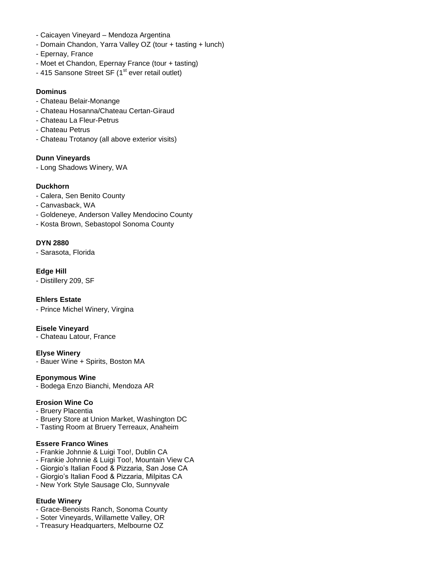- Caicayen Vineyard Mendoza Argentina
- Domain Chandon, Yarra Valley OZ (tour + tasting + lunch)
- Epernay, France
- Moet et Chandon, Epernay France (tour + tasting)
- 415 Sansone Street SF  $(1<sup>st</sup>$  ever retail outlet)

# **Dominus**

- Chateau Belair-Monange
- Chateau Hosanna/Chateau Certan-Giraud
- Chateau La Fleur-Petrus
- Chateau Petrus
- Chateau Trotanoy (all above exterior visits)

# **Dunn Vineyards**

- Long Shadows Winery, WA

# **Duckhorn**

- Calera, Sen Benito County
- Canvasback, WA
- Goldeneye, Anderson Valley Mendocino County
- Kosta Brown, Sebastopol Sonoma County

# **DYN 2880**

- Sarasota, Florida

**Edge Hill**

- Distillery 209, SF

### **Ehlers Estate**

- Prince Michel Winery, Virgina

### **Eisele Vineyard**

- Chateau Latour, France

### **Elyse Winery**

- Bauer Wine + Spirits, Boston MA

### **Eponymous Wine**

- Bodega Enzo Bianchi, Mendoza AR

# **Erosion Wine Co**

- Bruery Placentia
- Bruery Store at Union Market, Washington DC
- Tasting Room at Bruery Terreaux, Anaheim

### **Essere Franco Wines**

- Frankie Johnnie & Luigi Too!, Dublin CA
- Frankie Johnnie & Luigi Too!, Mountain View CA
- Giorgio's Italian Food & Pizzaria, San Jose CA
- Giorgio's Italian Food & Pizzaria, Milpitas CA
- New York Style Sausage Clo, Sunnyvale

### **Etude Winery**

- Grace-Benoists Ranch, Sonoma County
- Soter Vineyards, Willamette Valley, OR
- Treasury Headquarters, Melbourne OZ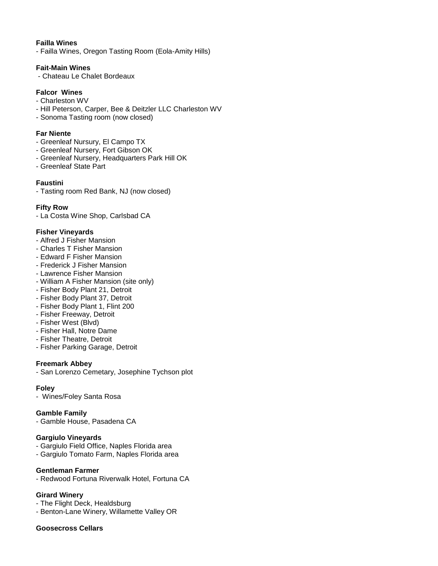#### **Failla Wines**

- Failla Wines, Oregon Tasting Room (Eola-Amity Hills)

#### **Fait-Main Wines**

- Chateau Le Chalet Bordeaux

### **Falcor Wines**

- Charleston WV
- Hill Peterson, Carper, Bee & Deitzler LLC Charleston WV
- Sonoma Tasting room (now closed)

#### **Far Niente**

- Greenleaf Nursury, El Campo TX
- Greenleaf Nursery, Fort Gibson OK
- Greenleaf Nursery, Headquarters Park Hill OK
- Greenleaf State Part

### **Faustini**

- Tasting room Red Bank, NJ (now closed)

### **Fifty Row**

- La Costa Wine Shop, Carlsbad CA

#### **Fisher Vineyards**

- Alfred J Fisher Mansion
- Charles T Fisher Mansion
- Edward F Fisher Mansion
- Frederick J Fisher Mansion
- Lawrence Fisher Mansion
- William A Fisher Mansion (site only)
- Fisher Body Plant 21, Detroit
- Fisher Body Plant 37, Detroit
- Fisher Body Plant 1, Flint 200
- Fisher Freeway, Detroit
- Fisher West (Blvd)
- Fisher Hall, Notre Dame
- Fisher Theatre, Detroit
- Fisher Parking Garage, Detroit

#### **Freemark Abbey**

- San Lorenzo Cemetary, Josephine Tychson plot

#### **Foley**

- Wines/Foley Santa Rosa

### **Gamble Family**

- Gamble House, Pasadena CA

#### **Gargiulo Vineyards**

- Gargiulo Field Office, Naples Florida area
- Gargiulo Tomato Farm, Naples Florida area

#### **Gentleman Farmer**

- Redwood Fortuna Riverwalk Hotel, Fortuna CA

### **Girard Winery**

- The Flight Deck, Healdsburg
- Benton-Lane Winery, Willamette Valley OR

#### **Goosecross Cellars**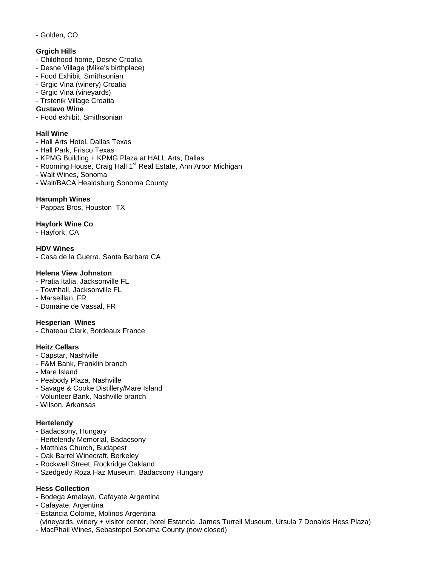### - Golden, CO

## **Grgich Hills**

- Childhood home, Desne Croatia
- Desne Village (Mike's birthplace)
- Food Exhibit, Smithsonian
- Grgic Vina (winery) Croatia
- Grgic Vina (vineyards)
- Trstenik Village Croatia

### **Gustavo Wine**

- Food exhibit, Smithsonian

### **Hall Wine**

- Hall Arts Hotel, Dallas Texas
- Hall Park, Frisco Texas
- KPMG Building + KPMG Plaza at HALL Arts, Dallas
- Rooming House, Craig Hall 1<sup>st</sup> Real Estate, Ann Arbor Michigan
- Walt Wines, Sonoma
- Walt/BACA Healdsburg Sonoma County

### **Harumph Wines**

- Pappas Bros, Houston TX

# **Hayfork Wine Co**

- Hayfork, CA

## **HDV Wines**

- Casa de la Guerra, Santa Barbara CA

### **Helena View Johnston**

- Pratia Italia, Jacksonville FL
- Townhall, Jacksonville FL
- Marseillan, FR
- Domaine de Vassal, FR

### **Hesperian Wines**

- Chateau Clark, Bordeaux France

### **Heitz Cellars**

- Capstar, Nashville
- F&M Bank, Franklin branch
- Mare Island
- Peabody Plaza, Nashville
- Savage & Cooke Distillery/Mare Island
- Volunteer Bank, Nashville branch
- Wilson, Arkansas

### **Hertelendy**

- Badacsony, Hungary
- Hertelendy Memorial, Badacsony
- Matthias Church, Budapest
- Oak Barrel Winecraft, Berkeley
- Rockwell Street, Rockridge Oakland
- Szedgedy Roza Haz Museum, Badacsony Hungary

### **Hess Collection**

- Bodega Amalaya, Cafayate Argentina
- Cafayate, Argentina
- Estancia Colome, Molinos Argentina
- (vineyards, winery + visitor center, hotel Estancia, James Turrell Museum, Ursula 7 Donalds Hess Plaza)
- MacPhail Wines, Sebastopol Sonama County (now closed)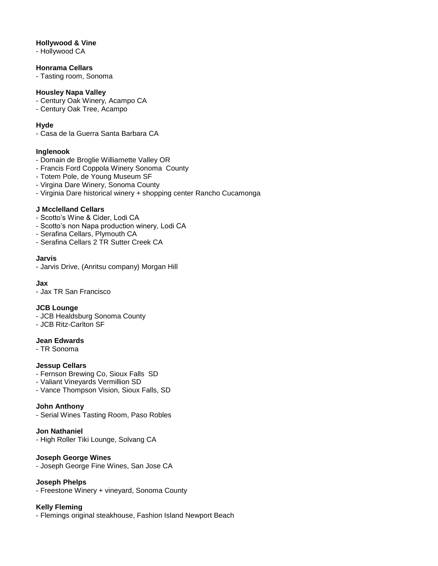### **Hollywood & Vine**

- Hollywood CA

## **Honrama Cellars**

- Tasting room, Sonoma

#### **Housley Napa Valley**

- Century Oak Winery, Acampo CA
- Century Oak Tree, Acampo

### **Hyde**

- Casa de la Guerra Santa Barbara CA

#### **Inglenook**

- Domain de Broglie Williamette Valley OR
- Francis Ford Coppola Winery Sonoma County
- Totem Pole, de Young Museum SF
- Virgina Dare Winery, Sonoma County
- Virginia Dare historical winery + shopping center Rancho Cucamonga

### **J Mcclelland Cellars**

- Scotto's Wine & Cider, Lodi CA
- Scotto's non Napa production winery, Lodi CA
- Serafina Cellars, Plymouth CA
- Serafina Cellars 2 TR Sutter Creek CA

#### **Jarvis**

- Jarvis Drive, (Anritsu company) Morgan Hill

#### **Jax**

- Jax TR San Francisco

### **JCB Lounge**

- JCB Healdsburg Sonoma County
- JCB Ritz-Carlton SF

#### **Jean Edwards**

- TR Sonoma

### **Jessup Cellars**

- Fernson Brewing Co, Sioux Falls SD
- Valiant Vineyards Vermillion SD
- Vance Thompson Vision, Sioux Falls, SD

### **John Anthony**

- Serial Wines Tasting Room, Paso Robles

**Jon Nathaniel** - High Roller Tiki Lounge, Solvang CA

#### **Joseph George Wines**

- Joseph George Fine Wines, San Jose CA

### **Joseph Phelps**

- Freestone Winery + vineyard, Sonoma County

### **Kelly Fleming**

- Flemings original steakhouse, Fashion Island Newport Beach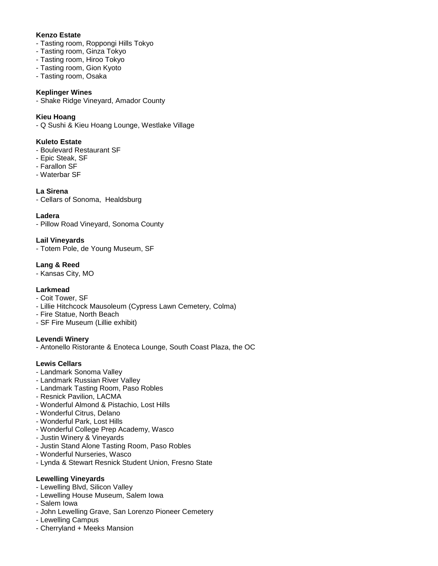## **Kenzo Estate**

- Tasting room, Roppongi Hills Tokyo
- Tasting room, Ginza Tokyo
- Tasting room, Hiroo Tokyo
- Tasting room, Gion Kyoto
- Tasting room, Osaka

#### **Keplinger Wines**

- Shake Ridge Vineyard, Amador County

### **Kieu Hoang**

- Q Sushi & Kieu Hoang Lounge, Westlake Village

### **Kuleto Estate**

- Boulevard Restaurant SF
- Epic Steak, SF
- Farallon SF
- Waterbar SF

### **La Sirena**

- Cellars of Sonoma, Healdsburg

#### **Ladera**

- Pillow Road Vineyard, Sonoma County

### **Lail Vineyards**

- Totem Pole, de Young Museum, SF

# **Lang & Reed**

- Kansas City, MO

### **Larkmead**

- Coit Tower, SF
- Lillie Hitchcock Mausoleum (Cypress Lawn Cemetery, Colma)
- Fire Statue, North Beach
- SF Fire Museum (Lillie exhibit)

### **Levendi Winery**

- Antonello Ristorante & Enoteca Lounge, South Coast Plaza, the OC

### **Lewis Cellars**

- Landmark Sonoma Valley
- Landmark Russian River Valley
- Landmark Tasting Room, Paso Robles
- Resnick Pavilion, LACMA
- Wonderful Almond & Pistachio, Lost Hills
- Wonderful Citrus, Delano
- Wonderful Park, Lost Hills
- Wonderful College Prep Academy, Wasco
- Justin Winery & Vineyards
- Justin Stand Alone Tasting Room, Paso Robles
- Wonderful Nurseries, Wasco
- Lynda & Stewart Resnick Student Union, Fresno State

### **Lewelling Vineyards**

- Lewelling Blvd, Silicon Valley
- Lewelling House Museum, Salem Iowa
- Salem Iowa
- John Lewelling Grave, San Lorenzo Pioneer Cemetery
- Lewelling Campus
- Cherryland + Meeks Mansion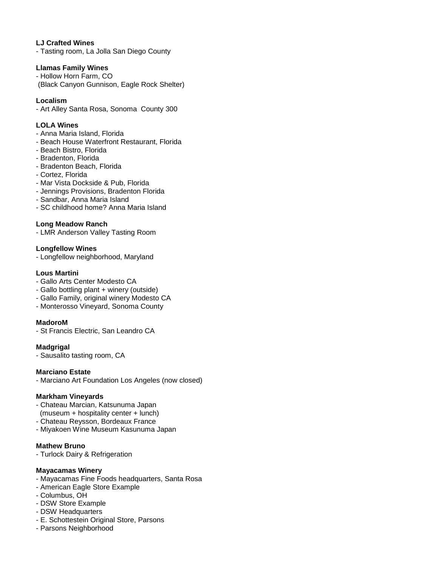### **LJ Crafted Wines**

- Tasting room, La Jolla San Diego County

#### **Llamas Family Wines**

- Hollow Horn Farm, CO (Black Canyon Gunnison, Eagle Rock Shelter)

#### **Localism**

- Art Alley Santa Rosa, Sonoma County 300

#### **LOLA Wines**

- Anna Maria Island, Florida
- Beach House Waterfront Restaurant, Florida
- Beach Bistro, Florida
- Bradenton, Florida
- Bradenton Beach, Florida
- Cortez, Florida
- Mar Vista Dockside & Pub, Florida
- Jennings Provisions, Bradenton Florida
- Sandbar, Anna Maria Island
- SC childhood home? Anna Maria Island

### **Long Meadow Ranch**

- LMR Anderson Valley Tasting Room

#### **Longfellow Wines**

- Longfellow neighborhood, Maryland

#### **Lous Martini**

- Gallo Arts Center Modesto CA
- Gallo bottling plant + winery (outside)
- Gallo Family, original winery Modesto CA
- Monterosso Vineyard, Sonoma County

### **MadoroM**

- St Francis Electric, San Leandro CA

### **Madgrigal**

- Sausalito tasting room, CA

### **Marciano Estate**

- Marciano Art Foundation Los Angeles (now closed)

#### **Markham Vineyards**

- Chateau Marcian, Katsunuma Japan (museum + hospitality center + lunch)
- Chateau Reysson, Bordeaux France
- Miyakoen Wine Museum Kasunuma Japan

### **Mathew Bruno**

- Turlock Dairy & Refrigeration

#### **Mayacamas Winery**

- Mayacamas Fine Foods headquarters, Santa Rosa
- American Eagle Store Example
- Columbus, OH
- DSW Store Example
- DSW Headquarters
- E. Schottestein Original Store, Parsons
- Parsons Neighborhood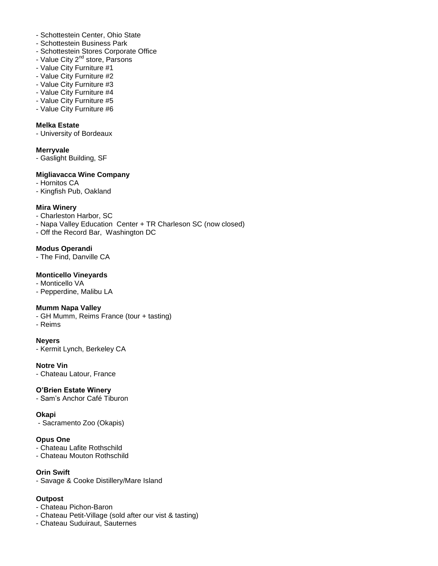- Schottestein Center, Ohio State
- Schottestein Business Park
- Schottestein Stores Corporate Office
- Value City 2<sup>nd</sup> store, Parsons
- Value City Furniture #1
- Value City Furniture #2
- Value City Furniture #3
- Value City Furniture #4
- Value City Furniture #5
- Value City Furniture #6

# **Melka Estate**

- University of Bordeaux

### **Merryvale**

- Gaslight Building, SF

### **Migliavacca Wine Company**

- Hornitos CA

- Kingfish Pub, Oakland

### **Mira Winery**

- Charleston Harbor, SC

- Napa Valley Education Center + TR Charleson SC (now closed)
- Off the Record Bar, Washington DC

### **Modus Operandi**

- The Find, Danville CA

### **Monticello Vineyards**

- Monticello VA

- Pepperdine, Malibu LA

### **Mumm Napa Valley**

- GH Mumm, Reims France (tour + tasting)

- Reims

### **Neyers**

- Kermit Lynch, Berkeley CA

### **Notre Vin**

- Chateau Latour, France

### **O'Brien Estate Winery**

- Sam's Anchor Café Tiburon

### **Okapi**

- Sacramento Zoo (Okapis)

### **Opus One**

- Chateau Lafite Rothschild

- Chateau Mouton Rothschild

### **Orin Swift**

- Savage & Cooke Distillery/Mare Island

### **Outpost**

- Chateau Pichon-Baron

- Chateau Petit-Village (sold after our vist & tasting)
- Chateau Suduiraut, Sauternes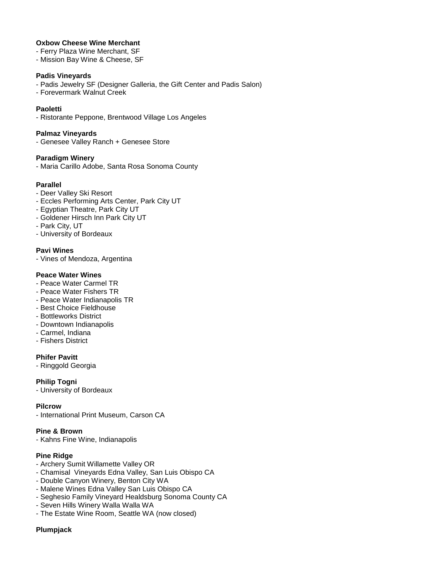#### **Oxbow Cheese Wine Merchant**

- Ferry Plaza Wine Merchant, SF
- Mission Bay Wine & Cheese, SF

#### **Padis Vineyards**

- Padis Jewelry SF (Designer Galleria, the Gift Center and Padis Salon)
- Forevermark Walnut Creek

#### **Paoletti**

- Ristorante Peppone, Brentwood Village Los Angeles

#### **Palmaz Vineyards**

- Genesee Valley Ranch + Genesee Store

#### **Paradigm Winery**

- Maria Carillo Adobe, Santa Rosa Sonoma County

#### **Parallel**

- Deer Valley Ski Resort
- Eccles Performing Arts Center, Park City UT
- Egyptian Theatre, Park City UT
- Goldener Hirsch Inn Park City UT
- Park City, UT
- University of Bordeaux

#### **Pavi Wines**

- Vines of Mendoza, Argentina

#### **Peace Water Wines**

- Peace Water Carmel TR
- Peace Water Fishers TR
- Peace Water Indianapolis TR
- Best Choice Fieldhouse
- Bottleworks District
- Downtown Indianapolis
- Carmel, Indiana
- Fishers District

#### **Phifer Pavitt**

- Ringgold Georgia

#### **Philip Togni**

- University of Bordeaux

#### **Pilcrow**

- International Print Museum, Carson CA

#### **Pine & Brown**

- Kahns Fine Wine, Indianapolis

### **Pine Ridge**

- Archery Sumit Willamette Valley OR
- Chamisal Vineyards Edna Valley, San Luis Obispo CA
- Double Canyon Winery, Benton City WA
- Malene Wines Edna Valley San Luis Obispo CA
- Seghesio Family Vineyard Healdsburg Sonoma County CA
- Seven Hills Winery Walla Walla WA
- The Estate Wine Room, Seattle WA (now closed)

#### **Plumpjack**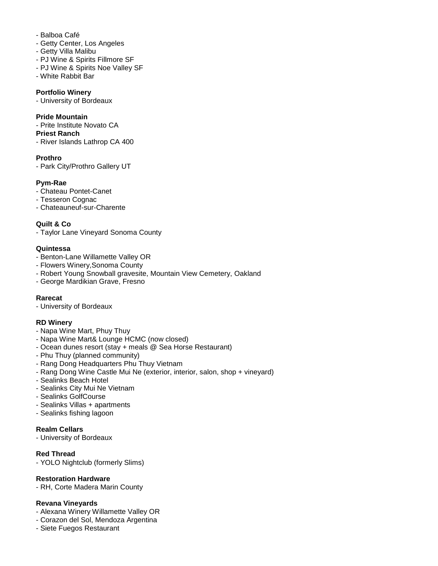- Balboa Café
- Getty Center, Los Angeles
- Getty Villa Malibu
- PJ Wine & Spirits Fillmore SF
- PJ Wine & Spirits Noe Valley SF
- White Rabbit Bar

#### **Portfolio Winery**

- University of Bordeaux

#### **Pride Mountain**

- Prite Institute Novato CA

#### **Priest Ranch**

- River Islands Lathrop CA 400

### **Prothro**

- Park City/Prothro Gallery UT

# **Pym-Rae**

- Chateau Pontet-Canet
- Tesseron Cognac
- Chateauneuf-sur-Charente

# **Quilt & Co**

- Taylor Lane Vineyard Sonoma County

### **Quintessa**

- Benton-Lane Willamette Valley OR
- Flowers Winery,Sonoma County
- Robert Young Snowball gravesite, Mountain View Cemetery, Oakland
- George Mardikian Grave, Fresno

### **Rarecat**

- University of Bordeaux

### **RD Winery**

- Napa Wine Mart, Phuy Thuy
- Napa Wine Mart& Lounge HCMC (now closed)
- Ocean dunes resort (stay + meals @ Sea Horse Restaurant)
- Phu Thuy (planned community)
- Rang Dong Headquarters Phu Thuy Vietnam
- Rang Dong Wine Castle Mui Ne (exterior, interior, salon, shop + vineyard)
- Sealinks Beach Hotel
- Sealinks City Mui Ne Vietnam
- Sealinks GolfCourse
- Sealinks Villas + apartments
- Sealinks fishing lagoon

### **Realm Cellars**

- University of Bordeaux

### **Red Thread**

- YOLO Nightclub (formerly Slims)

### **Restoration Hardware**

- RH, Corte Madera Marin County

### **Revana Vineyards**

- Alexana Winery Willamette Valley OR
- Corazon del Sol, Mendoza Argentina
- Siete Fuegos Restaurant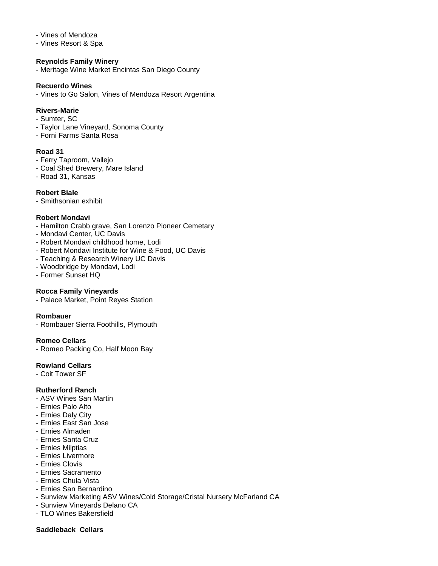#### - Vines of Mendoza

- Vines Resort & Spa

#### **Reynolds Family Winery**

- Meritage Wine Market Encintas San Diego County

#### **Recuerdo Wines**

- Vines to Go Salon, Vines of Mendoza Resort Argentina

#### **Rivers-Marie**

- Sumter, SC
- Taylor Lane Vineyard, Sonoma County
- Forni Farms Santa Rosa

#### **Road 31**

- Ferry Taproom, Vallejo
- Coal Shed Brewery, Mare Island
- Road 31, Kansas

#### **Robert Biale**

- Smithsonian exhibit

#### **Robert Mondavi**

- Hamilton Crabb grave, San Lorenzo Pioneer Cemetary
- Mondavi Center, UC Davis
- Robert Mondavi childhood home, Lodi
- Robert Mondavi Institute for Wine & Food, UC Davis
- Teaching & Research Winery UC Davis
- Woodbridge by Mondavi, Lodi
- Former Sunset HQ

### **Rocca Family Vineyards**

- Palace Market, Point Reyes Station

#### **Rombauer**

- Rombauer Sierra Foothills, Plymouth

#### **Romeo Cellars**

- Romeo Packing Co, Half Moon Bay

#### **Rowland Cellars**

- Coit Tower SF

#### **Rutherford Ranch**

- ASV Wines San Martin
- Ernies Palo Alto
- Ernies Daly City
- Ernies East San Jose
- Ernies Almaden
- Ernies Santa Cruz
- Ernies Milptias
- Ernies Livermore
- Ernies Clovis
- Ernies Sacramento
- Ernies Chula Vista
- Ernies San Bernardino
- Sunview Marketing ASV Wines/Cold Storage/Cristal Nursery McFarland CA
- Sunview Vineyards Delano CA
- TLO Wines Bakersfield

#### **Saddleback Cellars**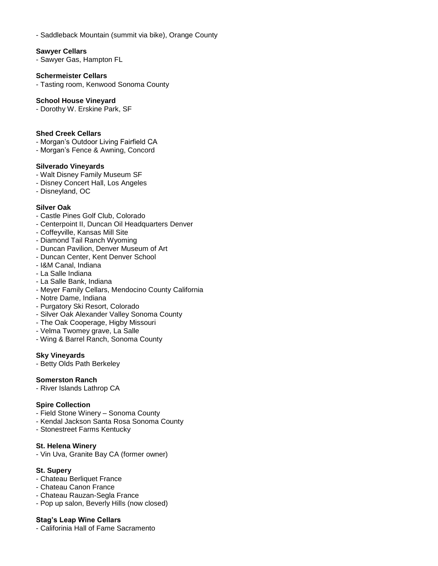- Saddleback Mountain (summit via bike), Orange County

#### **Sawyer Cellars**

- Sawyer Gas, Hampton FL

#### **Schermeister Cellars**

- Tasting room, Kenwood Sonoma County

#### **School House Vineyard**

- Dorothy W. Erskine Park, SF

#### **Shed Creek Cellars**

- Morgan's Outdoor Living Fairfield CA
- Morgan's Fence & Awning, Concord

#### **Silverado Vineyards**

- Walt Disney Family Museum SF
- Disney Concert Hall, Los Angeles
- Disneyland, OC

### **Silver Oak**

- Castle Pines Golf Club, Colorado
- Centerpoint II, Duncan Oil Headquarters Denver
- Coffeyville, Kansas Mill Site
- Diamond Tail Ranch Wyoming
- Duncan Pavilion, Denver Museum of Art
- Duncan Center, Kent Denver School
- I&M Canal, Indiana
- La Salle Indiana
- La Salle Bank, Indiana
- Meyer Family Cellars, Mendocino County California
- Notre Dame, Indiana
- Purgatory Ski Resort, Colorado
- Silver Oak Alexander Valley Sonoma County
- The Oak Cooperage, Higby Missouri
- Velma Twomey grave, La Salle
- Wing & Barrel Ranch, Sonoma County

#### **Sky Vineyards**

- Betty Olds Path Berkeley

#### **Somerston Ranch**

- River Islands Lathrop CA

### **Spire Collection**

- Field Stone Winery Sonoma County
- Kendal Jackson Santa Rosa Sonoma County
- Stonestreet Farms Kentucky

#### **St. Helena Winery**

- Vin Uva, Granite Bay CA (former owner)

#### **St. Supery**

- Chateau Berliquet France
- Chateau Canon France
- Chateau Rauzan-Segla France
- Pop up salon, Beverly Hills (now closed)

#### **Stag's Leap Wine Cellars**

- Califorinia Hall of Fame Sacramento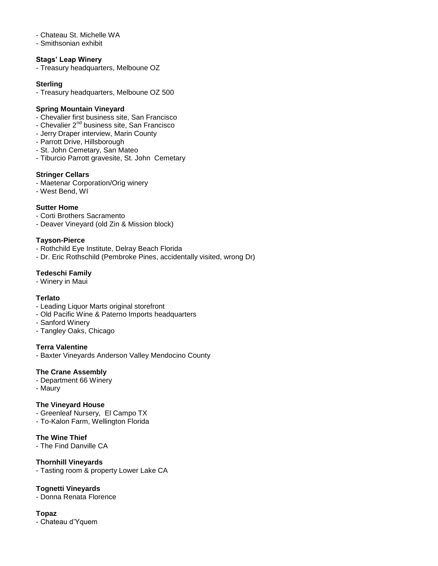#### - Chateau St. Michelle WA

- Smithsonian exhibit

#### **Stags' Leap Winery**

- Treasury headquarters, Melboune OZ

#### **Sterling**

- Treasury headquarters, Melboune OZ 500

#### **Spring Mountain Vineyard**

- Chevalier first business site, San Francisco
- Chevalier 2<sup>nd</sup> business site, San Francisco
- Jerry Draper interview, Marin County
- Parrott Drive, Hillsborough
- St. John Cemetary, San Mateo
- Tiburcio Parrott gravesite, St. John Cemetary

#### **Stringer Cellars**

- Maetenar Corporation/Orig winery
- West Bend, WI

#### **Sutter Home**

- Corti Brothers Sacramento
- Deaver Vineyard (old Zin & Mission block)

#### **Tayson-Pierce**

- Rothchild Eye Institute, Delray Beach Florida
- Dr. Eric Rothschild (Pembroke Pines, accidentally visited, wrong Dr)

#### **Tedeschi Family**

- Winery in Maui

#### **Terlato**

- Leading Liquor Marts original storefront
- Old Pacific Wine & Paterno Imports headquarters
- Sanford Winery
- Tangley Oaks, Chicago

#### **Terra Valentine**

- Baxter Vineyards Anderson Valley Mendocino County

#### **The Crane Assembly**

- Department 66 Winery
- Maury

#### **The Vineyard House**

- Greenleaf Nursery, El Campo TX
- To-Kalon Farm, Wellington Florida

#### **The Wine Thief**

- The Find Danville CA

#### **Thornhill Vineyards**

- Tasting room & property Lower Lake CA

### **Tognetti Vineyards**

- Donna Renata Florence

#### **Topaz**

- Chateau d'Yquem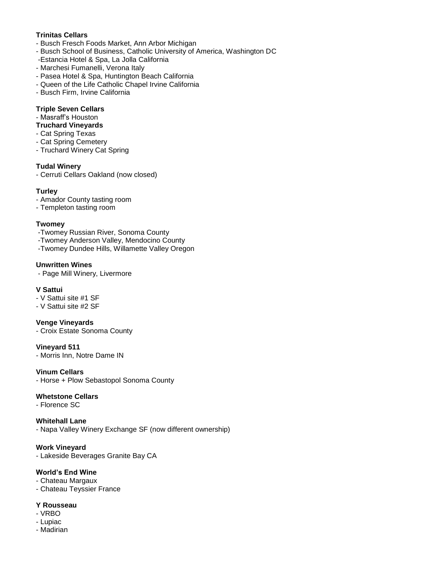# **Trinitas Cellars**

- Busch Fresch Foods Market, Ann Arbor Michigan
- Busch School of Business, Catholic University of America, Washington DC
- -Estancia Hotel & Spa, La Jolla California
- Marchesi Fumanelli, Verona Italy
- Pasea Hotel & Spa, Huntington Beach California
- Queen of the Life Catholic Chapel Irvine California
- Busch Firm, Irvine California

# **Triple Seven Cellars**

- Masraff's Houston

# **Truchard Vineyards**

- Cat Spring Texas
- Cat Spring Cemetery
- Truchard Winery Cat Spring

### **Tudal Winery**

- Cerruti Cellars Oakland (now closed)

# **Turley**

- Amador County tasting room
- Templeton tasting room

### **Twomey**

- -Twomey Russian River, Sonoma County
- -Twomey Anderson Valley, Mendocino County
- -Twomey Dundee Hills, Willamette Valley Oregon

# **Unwritten Wines**

- Page Mill Winery, Livermore

### **V Sattui**

- V Sattui site #1 SF
- V Sattui site #2 SF

### **Venge Vineyards**

- Croix Estate Sonoma County

### **Vineyard 511**

- Morris Inn, Notre Dame IN

### **Vinum Cellars**

- Horse + Plow Sebastopol Sonoma County

### **Whetstone Cellars**

- Florence SC

#### **Whitehall Lane**  - Napa Valley Winery Exchange SF (now different ownership)

# **Work Vineyard**

- Lakeside Beverages Granite Bay CA

# **World's End Wine**

- Chateau Margaux
- Chateau Teyssier France

### **Y Rousseau**

- VRBO
- Lupiac
- Madirian